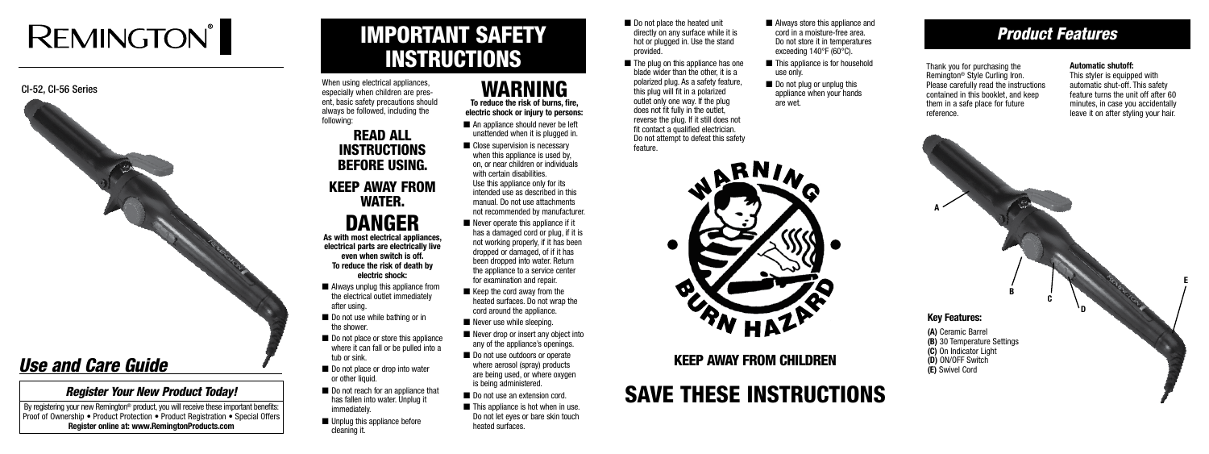# **REMINGTON®**



## Save these Instructions



## IMPORTANT SAFETY INSTRUCTIONS

When using electrical appliances. especially when children are present, basic safety precautions should always be followed, including the following:

### READ ALL INSTRUCTIONS BEFORE USING. KEEP AWAY FROM WATER.

## DANGER

**As with most electrical appliances, electrical parts are electrically live even when switch is off. To reduce the risk of death by electric shock:**

- Always unplug this appliance from the electrical outlet immediately after using.
- Do not use while bathing or in the shower.
- Do not place or store this appliance where it can fall or be pulled into a tub or sink.
- Do not place or drop into water or other liquid.
- Do not reach for an appliance that has fallen into water. Unplug it immediately.
- Unplug this appliance before cleaning it.
- Do not place the heated unit directly on any surface while it is hot or plugged in. Use the stand provided.
- The plug on this appliance has one blade wider than the other, it is a polarized plug. As a safety feature, this plug will fit in a polarized outlet only one way. If the plug does not fit fully in the outlet, reverse the plug. If it still does not fit contact a qualified electrician. Do not attempt to defeat this safety feature.
- This appliance is for household use only.
- Do not plug or unplug this appliance when your hands are wet.



- An appliance should never be left unattended when it is plugged in.
- Close supervision is necessary when this appliance is used by, on, or near children or individuals with certain disabilities. Use this appliance only for its intended use as described in this manual. Do not use attachments not recommended by manufacturer.
- $\blacksquare$  Never operate this appliance if it has a damaged cord or plug, if it is not working properly, if it has been dropped or damaged, of if it has been dropped into water. Return the appliance to a service center for examination and repair.
- $\blacksquare$  Keep the cord away from the heated surfaces. Do not wrap the cord around the appliance.
- Never use while sleeping.
- Never drop or insert any object into any of the appliance's openings.
- Do not use outdoors or operate where aerosol (spray) products are being used, or where oxygen is being administered.
- Do not use an extension cord.
- $\blacksquare$  This appliance is hot when in use. Do not let eyes or bare skin touch heated surfaces.



### WARNING **To reduce the risk of burns, fire,**

**electric shock or injury to persons:**

By registering your new Remington<sup>®</sup> product, you will receive these important benefits: **Proof of Ownership • Product Protection • Product Registration • Special Offers Register online at: www.RemingtonProducts.com**

KEEP AWAY FROM CHILDREN

### *Product Features*

Thank you for purchasing the Remington® Style Curling Iron. Please carefully read the instructions contained in this booklet, and keep them in a safe place for future reference.

#### **Automatic shutoff:**

This styler is equipped with automatic shut-off. This safety feature turns the unit off after 60 minutes, in case you accidentally leave it on after styling your hair.

### **Key Features:**

**(A)** Ceramic Barrel **(B)** 30 Temperature Settings **(C)** On Indicator Light **(D)** ON/OFF Switch **(E)** Swivel Cord

**A**

**B**

**C**

**D**

**E**

### *Use and Care Guide*

### *Register Your New Product Today!*